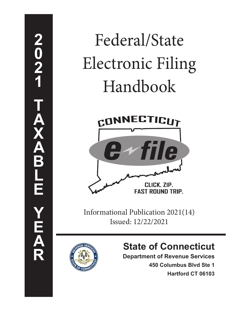# Federal/State Electronic Filing Handbook



Informational Publication 2021(14) Issued: 12/22/2021



# **State of Connecticut**

**Department of Revenue Services**

**450 Columbus Blvd Ste 1 Hartford CT 06103**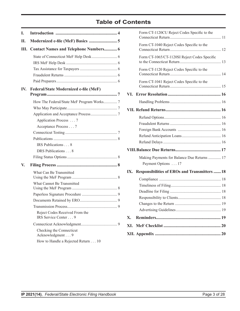# **Table of Contents**

| L   |                                                        |
|-----|--------------------------------------------------------|
| Н.  |                                                        |
| Ш.  | <b>Contact Names and Telephone Numbers 6</b>           |
|     |                                                        |
|     |                                                        |
|     |                                                        |
|     |                                                        |
|     |                                                        |
| IV. | <b>Federal/State Modernized e-file (MeF)</b>           |
|     |                                                        |
|     | How The Federal/State MeF Program Works7               |
|     |                                                        |
|     |                                                        |
|     | Application Process 7                                  |
|     | Acceptance Process 7                                   |
|     |                                                        |
|     |                                                        |
|     | IRS Publications 8                                     |
|     | DRS Publications 8                                     |
|     |                                                        |
| V.  |                                                        |
|     | What Can Be Transmitted                                |
|     | What Cannot Be Transmitted                             |
|     |                                                        |
|     |                                                        |
|     |                                                        |
|     | Reject Codes Received From the<br>IRS Service Center 9 |
|     |                                                        |
|     | Checking the Connecticut<br>Acknowledgment 9           |
|     | How to Handle a Rejected Return 10                     |

|     | Form CT-1120CU Reject Codes Specific to the          |
|-----|------------------------------------------------------|
|     | Form CT-1040 Reject Codes Specific to the            |
|     | Form CT-1065/CT-1120SI Reject Codes Specific         |
|     | Form CT-1120 Reject Codes Specific to the            |
|     | Form CT-1041 Reject Codes Specific to the            |
|     |                                                      |
|     |                                                      |
|     |                                                      |
|     |                                                      |
|     |                                                      |
|     |                                                      |
|     |                                                      |
|     |                                                      |
|     |                                                      |
|     | Making Payments for Balance Due Returns  17          |
|     | Payment Options 17                                   |
| IX. | <b>Responsibilities of EROs and Transmitters  18</b> |
|     |                                                      |
|     |                                                      |
|     |                                                      |
|     |                                                      |
|     |                                                      |
|     |                                                      |
| X.  |                                                      |
| XI. |                                                      |
|     |                                                      |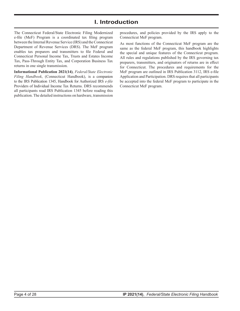# **I. Introduction**

<span id="page-3-0"></span>The Connecticut Federal/State Electronic Filing Modernized e‑file (MeF) Program is a coordinated tax filing program between the Internal Revenue Service (IRS) and the Connecticut Department of Revenue Services (DRS). The MeF program enables tax preparers and transmitters to file Federal and Connecticut Personal Income Tax, Trusts and Estates Income Tax, Pass-Through Entity Tax, and Corporation Business Tax returns in one single transmission.

**Informational Publication 2021(14)**, *Federal/State Electronic Filing Handbook*, (Connecticut Handbook), is a companion to the IRS Publication 1345, Handbook for Authorized IRS *e-file* Providers of Individual Income Tax Returns. DRS recommends all participants read IRS Publication 1345 before reading this publication. The detailed instructions on hardware, transmission

procedures, and policies provided by the IRS apply to the Connecticut MeF program.

As most functions of the Connecticut MeF program are the same as the federal MeF program, this handbook highlights the special and unique features of the Connecticut program. All rules and regulations published by the IRS governing tax preparers, transmitters, and originators of returns are in effect for Connecticut. The procedures and requirements for the MeF program are outlined in IRS Publication 3112, IRS e-file Application and Participation. DRS requires that all participants be accepted into the federal MeF program to participate in the Connecticut MeF program.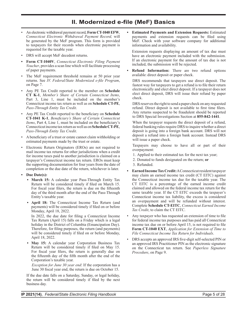# **II. Modernized e‑file (MeF) Basics**

- <span id="page-4-0"></span>• An electronic withdrawal payment record, **Form CT‑1040 EFW**, *Connecticut Electronic Withdrawal Payment Record,* will be generated by the MeF program. This form is provided to taxpayers for their records when electronic payment is requested for the taxable year.
- DRS will accept MeF decedent returns.
- **• Form CT‑1040V**, *Connecticut Electronic Filing Payment Voucher*, provides a scan line which will facilitate processing of paper payments.
- The MeF requirement threshold remains at 50 prior year returns. See *IV. Federal/State Modernized e‑file Program*, on Page 7.
- Any PE Tax Credit reported to the member on **Schedule CT K‑1**, *Member's Share of Certain Connecticut Items*, Part 3, Line 1, must be included on the member's Connecticut income tax return as well as on **Schedule CT‑PE**, *Pass‑Through Entity Tax Credit*.
- Any PE Tax Credit reported to the beneficiary on **Schedule CT‑1041 K‑1**, *Beneficiary's Share of Certain Connecticut Items*, Part 4, Line 1, must be included on the beneficiary's Connecticut income tax return as well as on **ScheduleCT‑PE**, *Pass‑Through Entity Tax Credit*.
- A beneficiary of a trust or estate cannot claim withholding or estimated payments made by the trust or estate.
- Electronic Return Originators (EROs) are not required to mail income tax returns for other jurisdictions when a credit for income taxes paid to another jurisdiction is claimed on a taxpayer's Connecticut income tax return. EROs must keep the supporting documentation for four years from the date of completion or the due date of the return, whichever is later.
- **• Due Date(s):**
	- **• March 15:** A calendar year Pass-Through Entity Tax Return will be considered timely if filed on March 15. For fiscal year filers, the return is due on the fifteenth day of the third month after the end of the Pass-Through Entity's taxable year.
	- **• April 18:** The Connecticut Income Tax Return (and payments) will be considered timely if filed on or before Monday, April 18, 2022.

In 2022, the due date for filing a Connecticut Income Tax Return (April 15) falls on a Friday which is a legal holiday in the District of Columbia (Emancipation Day). Therefore, for filing purposes, the return (and payments) will be considered timely if filed on or before Monday, April 18, 2022.

**• May 15:** A calendar year Corporation Business Tax Return will be considered timely if filed on May 15. For fiscal year filers, the return is generally due on the fifteenth day of the fifth month after the end of the Corporation's taxable year.

*Exception for June 30 year end*: If the corporation has a June 30 fiscal year end, the return is due on October 15.

If the due date falls on a Saturday, Sunday, or legal holiday, the return will be considered timely if filed by the next business day.

**• Estimated Payments and Extension Requests:** Estimated payments and extension requests can be filed using MeF. Check with your software company for additional information and availability.

Extension requests displaying an amount of tax due must have an electronic payment included with the submission. If an electronic payment for the amount of tax due is not included, the submission will be rejected.

**• Refund Information:** There are two refund options available: direct deposit or paper check.

DRS recommends that taxpayers use direct deposit. The fastest way for taxpayers to get a refund is to file their return electronically and elect direct deposit. If a taxpayer does not elect direct deposit, DRS will issue their refund by paper check.

DRS reserves the right to send a paper check on any requested refund. Direct deposit is not available to first time filers. Any returns suspected to be fraudulent should be reported to DRS Special Investigations Section at **855‑842‑1441**.

When the taxpayer requests the direct deposit of a refund, federal banking rules require DRS to inquire whether a direct deposit is going into a foreign bank account. DRS will not deposit a refund into a foreign bank account. Instead DRS will issue a paper check.

Taxpayers may choose to have all or part of their overpayment:

- 1. Applied to their estimated tax for the next tax year;
- 2. Donated to funds designated on the return; **or**
- 3. Refunded.
- **Earned Income Tax Credit:** A Connecticut resident taxpayer may claim an earned income tax credit (CT EITC) against the Connecticut income tax due for the taxable year. The CT EITC is a percentage of the earned income credit claimed and allowed on the federal income tax return for the same taxable year. If the CT EITC exceeds the taxpayer's Connecticut income tax liability, the excess is considered an overpayment and will be refunded without interest. Complete **Schedule CT‑EITC**, *Connecticut Earned Income Tax Credit*, to claim the CT EITC.
- Any taxpayer who has requested an extension of time to file for federal income tax purposes and has paid all Connecticut income tax due on or before April 15, is not required to file **Form CT‑1040 EXT**, *Application for Extension of Time to File Connecticut Income Tax Return for Individuals*.
- DRS accepts an approved IRS five-digit self-selected PIN or an approved IRS Practitioner PIN as the electronic signature on the Connecticut tax return. See *Paperless Signature Procedure*, on Page 9.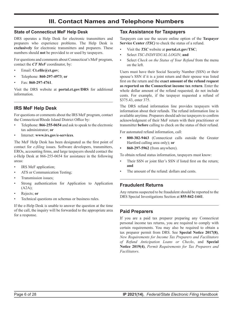# **III. Contact Names and Telephone Numbers**

#### <span id="page-5-0"></span>**State of Connecticut MeF Help Desk**

DRS operates a Help Desk for electronic transmitters and preparers who experience problems. The Help Desk is **exclusively** for electronic transmitters and preparers. These numbers should **not** be provided to or used by taxpayers.

For questions and comments about Connecticut's MeF program, contact the *CT MeF* coordinator, by:

- Email: **[Ct.efile@ct.gov](mailto:Ct.efile%40ct.gov?subject=)**;
- Telephone: **860‑297‑4973**; **or**
- Fax: **860‑297‑4761**.

Visit the DRS website at **[portal.ct.gov/DRS](https://portal.ct.gov/DRS)** for additional information.

#### **IRS MeF Help Desk**

For questions or comments about the IRS MeF program, contact the Connecticut/Rhode Island District Office by:

- Telephone: **866‑255‑0654** and ask to speak to the electronic tax administrator; **or**
- Internet: **[www.irs.gov/e‑services](https://www.irs.gov/e-services)**.

The MeF Help Desk has been designated as the first point of contact for *e-filing* issues. Software developers, transmitters, EROs, accounting firms, and large taxpayers should contact the e-Help Desk at 866-255-0654 for assistance in the following areas:

- IRS MeF application;
- ATS or Communication Testing;
- Transmission issues;
- Strong authentication for Application to Application (A2A);
- Rejects; **or**
- Technical questions on schemas or business rules.

If the e-Help Desk is unable to answer the question at the time of the call, the inquiry will be forwarded to the appropriate area for a response.

#### **Tax Assistance for Taxpayers**

Taxpayers can use the secure online option of the **Taxpayer Service Center** *(TSC)* to check the status of a refund.

- Visit the *TSC* website at **[portal.ct.gov/TSC](https://portal.ct.gov/TSC)**;
- Select *TSC-INDIVIDUAL LOGIN*; **and**
- Select *Check on the Status of Your Refund* from the menu on the left.

Users must have their Social Security Number (SSN) or their spouse's SSN if it is a joint return and their spouse was listed first on the return and the **exact amount of the refund request as reported on the Connecticut income tax return**. Enter the whole dollar amount of the refund requested; do not include cents. For example, if the taxpayer requested a refund of \$375.43, enter 375.

The DRS refund information line provides taxpayers with information about their refunds. The refund information line is available anytime. Preparers should advise taxpayers to confirm acknowledgment of their MeF return with their practitioner or transmitter **before** calling to check on the status of their refund.

For automated refund information, call:

- **• 800‑382‑9463** (Connecticut calls outside the Greater Hartford calling area only); **or**
- **• 860‑297‑5962** (from anywhere).

To obtain refund status information, taxpayers must know:

- Their SSN or joint filer's SSN if listed first on the return; **and**
- The amount of the refund: dollars and cents.

#### **Fraudulent Returns**

Any returns suspected to be fraudulent should be reported to the DRS Special Investigations Section at **855‑842‑1441**.

#### **Paid Preparers**

If you are a paid tax preparer preparing any Connecticut personal income tax returns, you are required to comply with certain requirements. You may also be required to obtain a tax preparer permit from DRS. See **Special Notice 2017(8)**, *New Requirements for Income Tax Preparers and Facilitators of Refund Anticipation Loans or Checks*, and **Special Notice 2019(4)**, *Permit Requirements for Tax Preparers and Facilitators*.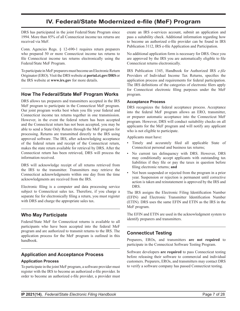# **IV. Federal/State Modernized e-file (MeF) Program**

<span id="page-6-0"></span>DRS has participated in the joint Federal/State Program since 1994. More than 85% of all Connecticut income tax returns are received via MeF.

Conn. Agencies Regs. § 12-690-1 requires return preparers who prepared 50 or more Connecticut income tax returns to file Connecticut income tax returns electronically using the Federal/State MeF Program.

To participate in MeF preparers must become an Electronic Return Originator(ERO).Visit the DRS website at **[portal.ct.gov/DRS](https://portal.ct.gov/DRS)**or the IRS website at **[www.irs.gov](https://www.irs.gov)** for more details.

#### **How The Federal/State MeF Program Works**

DRS allows tax preparers and transmitters accepted in the IRS MeF program to participate in the Connecticut MeF program. Our joint program works best when you file your federal and Connecticut income tax returns together in one transmission. However, in the event the federal return has been accepted and the Connecticut return has not been accepted, you may be able to send a State Only Return through the MeF program for processing. Returns are transmitted directly to the IRS using approved software. The IRS, after acknowledging acceptance of the federal return and receipt of the Connecticut return, makes the state return available for retrieval by DRS. After the Connecticut return has been retrieved, DRS will process the information received.

DRS will acknowledge receipt of all returns retrieved from the IRS to the transmitter. Transmitters may retrieve the Connecticut acknowledgments within one day from the time acknowledgments are received from the IRS.

Electronic filing is a computer and data processing service subject to Connecticut sales tax. Therefore, if you charge a separate fee for electronically filing a return, you must register with DRS and charge the appropriate sales tax.

#### **Who May Participate**

Federal/State MeF for Connecticut returns is available to all participants who have been accepted into the federal MeF program and are authorized to transmit returns to the IRS. The application process for the MeF program is outlined in this handbook.

#### **Application and Acceptance Process**

#### **Application Process**

To participate in the joint MeF program, a software provider must register with the IRS to become an authorized e-file provider. In order to become an authorized e-file provider, a provider must

create an IRS e-services account, submit an application and pass a suitability check. Additional information regarding how to become an authorized e-file provider can be found in IRS Publication 3112, IRS e-file Application and Participation.

No additional application form is necessary for DRS. Once you are approved by the IRS you are automatically eligible to file Connecticut returns electronically.

IRS Publication 1345, Handbook for Authorized IRS *e‑file* Providers of Individual Income Tax Returns, specifies the application process and requirements for federal participation. The IRS definitions of the categories of electronic filers apply for Connecticut electronic filing purposes under the MeF program.

#### **Acceptance Process**

DRS recognizes the federal acceptance process. Acceptance into the federal MeF program allows an ERO, transmitter, or preparer automatic acceptance into the Connecticut MeF program. However, DRS will conduct suitability checks on all applicants for the MeF program and will notify any applicant who is not eligible to participate.

Applicants must have:

- Timely and accurately filed all applicable State of Connecticut personal and business tax returns;
- No current tax delinquency with DRS. However, DRS may conditionally accept applicants with outstanding tax liabilities if they file or pay the taxes in question before filing electronic returns; **and**
- Not been suspended or rejected from the program in a prior year. Suspension or rejection is permanent until corrective action is taken and reinstatement is approved by the IRS and DRS.

The IRS assigns the Electronic Filing Identification Number (EFIN) and Electronic Transmitter Identification Number (ETIN). DRS uses the same EFIN and ETIN as the IRS in the MeF program.

The EFIN and ETIN are used in the acknowledgment system to identify preparers and transmitters.

#### **Connecticut Testing**

Preparers, EROs, and transmitters **are not required** to participate in the Connecticut Software Testing Program.

Software developers **are required** to pass Connecticut testing before releasing their software to commercial and individual customers. Preparers, EROs, and transmitters may contact DRS to verify a software company has passed Connecticut testing.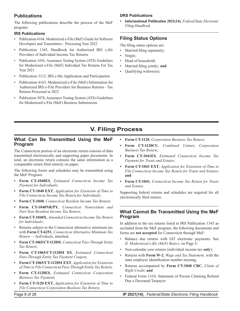#### <span id="page-7-0"></span>**Publications**

The following publications describe the process of the MeF program:

#### **IRS Publications**

- Publication 4164, Modernized e-File (MeF) Guide for Software Developers and Transmitters - Processing Year 2022
- Publication 1345, Handbook for Authorized IRS *e‑file* Providers of Individual Income Tax Returns
- Publication 1436, Assurance Testing System (ATS) Guidelines for Modernized e‑File (MeF) Individual Tax Returns For Tax Year 2021
- Publication 3112, IRS e-file Application and Participation
- Publication 4163, Modernized e-File (MeF) Information for Authorized IRS e-File Providers for Business Returns - Tax Returns Processed in 2022
- Publication 5078, Assurance Testing System (ATS) Guidelines for Modernized e‑File (MeF) Business Submissions

#### **DRS Publications**

**• Informational Publication 2021(14)**, *Federal/State Electronic Filing Handbook*

#### **Filing Status Options**

The filing status options are:

- Married filing separately;
- Single;
- Head of household;
- Married filing jointly; **and**
- Qualifying widow(er).

# **V. Filing Process**

#### **What Can Be Transmitted Using the MeF Program**

The Connecticut portion of an electronic return consists of data transmitted electronically and supporting paper documents. In total, an electronic return contains the same information as a comparable return filed entirely on paper.

The following forms and schedules may be transmitted using the MeF Program:

- **• Form CT‑1040ES**, *Estimated Connecticut Income Tax Payment for Individuals*;
- **• Form CT‑1040 EXT**, *Application for Extension of Time to File Connecticut Income Tax Return for Individuals*;
- **• Form CT‑1040**, *Connecticut Resident Income Tax Return*;
- **• Form CT‑1040NR/PY**, *Connecticut Nonresident and Part-Year Resident Income Tax Return*;
- **• Form CT‑1040X**, *Amended Connecticut Income Tax Return for Individuals*;
- Returns subject to the Connecticut alternative minimum tax with **Form CT‑6251**, *Connecticut Alternative Minimum Tax Return — Individuals*, attached;
- **• Form CT‑1065/CT‑1120SI**, *Connecticut Pass-Through Entity Tax Return*;
- **• Form CT‑1065/CT-1120SI ES**, *Estimated Connecticut Pass‑Through Entity Tax Payment Coupon*;
- **• Form CT‑1065/CT‑1120SI EXT**, *Application for Extension of Time to File Connecticut Pass‑Through Entity Tax Return;*
- **• Form CT‑1120ES**, *Estimated Connecticut Corporation Business Tax Payment*;
- **• Form CT‑1120 EXT**, *Application for Extension of Time to File Connecticut Corporation Business Tax Return*;
- **• Form CT‑1120**, *Corporation Business Tax Return*;
- **• Form CT‑1120CU**, *Combined Unitary Corporation Business Tax Return*;
- **• Form CT‑1041ES**, *Estimated Connecticut Income Tax Payment for Trusts and Estates*;
- **• Form CT‑1041 EXT**, *Application for Extension of Time to File Connecticut Income Tax Return for Trusts and Estates*; **and**
- **• Form CT‑1041**, *Connecticut Income Tax Return for Trusts and Estates.*

Supporting federal returns and schedules are required for all electronically filed returns.

#### **What Cannot Be Transmitted Using the MeF Program**

In addition to the tax returns listed in IRS Publication 1345 as excluded from the MeF program, the following documents and forms are **not accepted** for Connecticut through MeF:

- Balance due returns with IAT electronic payments. See *II. Modernized e‑file (MeF) Basics,* on Page 5;
- Non‑calendar year returns (individual income tax **only**);
- Returns with **Form W‑2**, *Wage and Tax Statement*, with the state employer identification number missing;
- Returns accompanied by **Form CT‑1040 CRC**, *Claim of Right Credit*; **and**
- Federal Form 1310, Statement of Person Claiming Refund Due a Deceased Taxpayer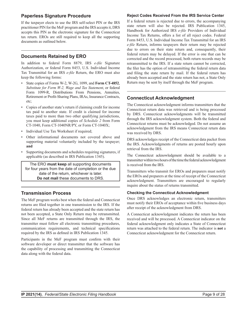#### <span id="page-8-0"></span>**Paperless Signature Procedure**

If the taxpayer elects to use the IRS self‑select PIN or the IRS practitioner PIN for the MeF program and the IRS accepts it, DRS accepts this PIN as the electronic signature for the Connecticut tax return. EROs are still required to keep all the supporting documents as outlined below.

#### **Documents Retained by ERO**

In addition to federal Form 8879, IRS *e-file* Signature Authorization, or federal Form 8453, U.S. Individual Income Tax Transmittal for an IRS *e-file* Return, the ERO must also keep the following forms:

- State copies of Forms W-2, W-2G, 1099, and **Form CT‑4852**, *Substitute for Form W‑2, Wage and Tax Statement*, or federal Form 1099-R, Distributions From Pensions, Annuities, Retirement or Profit‑Sharing Plans, IRAs, Insurance Contracts, etc;
- Copies of another state's return if claiming credit for income tax paid to another state. If credit is claimed for income taxes paid to more than two other qualifying jurisdictions, you must keep additional copies of *Schedule 2* from Form CT‑1040, Form CT‑1040NR/PY, or Form CT-1040X;
- Individual Use Tax Worksheet if required;
- Other informational documents not covered above and supporting material voluntarily included by the taxpayer; **and**
- Supporting documents and schedules requiring signatures, if applicable (as described in IRS Publication 1345).

The ERO **must keep** all supporting documents for four years from the date of completion or the due date of the return, whichever is later. **Do not mail** these documents to DRS.

#### **Transmission Process**

The MeF program works best when the federal and Connecticut returns are filed together in one transmission to the IRS. If the federal return has already been accepted and the state return has not been accepted, a State Only Return may be retransmitted. Since all MeF returns are transmitted through the IRS, the transmitter must follow all electronic transmitting procedures, communication requirements, and technical specifications required by the IRS as defined in IRS Publication 1345.

Participants in the MeF program must confirm with their software developer or direct transmitter that the software has the capability of processing and transmitting the Connecticut data along with the federal data.

#### **Reject Codes Received From the IRS Service Center**

If a federal return is rejected due to errors, the accompanying state return will also be rejected. IRS Publication 1345, Handbook for Authorized IRS e-file Providers of Individual Income Tax Returns, offers a list of all reject codes. Federal Form 8453, U.S. Individual Income Tax Transmittal for an IRS *e‑file* Return, informs taxpayers their return may be rejected due to errors on their state return and, consequently, their federal return may be delayed. If the error is one that can be corrected and the record processed, both return records may be retransmitted to the IRS. If a state return cannot be corrected, the filer has the option of retransmitting the federal return data and filing the state return by mail. If the federal return has already been accepted and the state return has not, a State Only Return may be sent by itself through the MeF program.

#### **Connecticut Acknowledgment**

The Connecticut acknowledgment informs transmitters that the Connecticut return data was retrieved and is being processed by DRS. Connecticut acknowledgments will be transmitted through the IRS acknowledgment system. Both the federal and Connecticut returns must be acknowledged. Do not assume an acknowledgment from the IRS means Connecticut return data was received by DRS.

DRS acknowledges receipt of the Connecticut data packet from the IRS. Acknowledgments of returns are posted hourly upon retrieval from the IRS.

The Connecticut acknowledgment should be available to a transmitter within two hours of the time the federal acknowledgment is received from the IRS.

Transmitters who transmit for EROs and preparers must notify the EROs and preparers at the time of receipt of the Connecticut acknowledgment. Transmitters are encouraged to regularly inquire about the status of returns transmitted.

#### **Checking the Connecticut Acknowledgment**

Once DRS acknowledges an electronic return, transmitters must notify their EROs of acceptance within five business days after receipt of the acknowledgment from DRS.

A Connecticut acknowledgment indicates the return has been received and will be processed. A Connecticut indicator on the federal acknowledgment only indicates a State of Connecticut return was attached to the federal return. The indicator is **not** a Connecticut acknowledgment for the Connecticut return.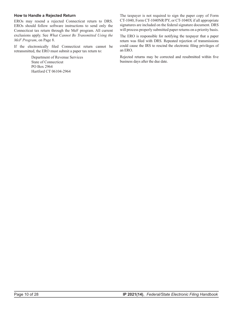#### <span id="page-9-0"></span>**How to Handle a Rejected Return**

EROs may resend a rejected Connecticut return to DRS. EROs should follow software instructions to send only the Connecticut tax return through the MeF program. All current exclusions apply. See *What Cannot Be Transmitted Using the MeF Program*, on Page 8.

If the electronically filed Connecticut return cannot be retransmitted, the ERO must submit a paper tax return to:

> Department of Revenue Services State of Connecticut PO Box 2964 Hartford CT 06104-2964

The taxpayer is not required to sign the paper copy of Form CT‑1040, Form CT‑1040NR/PY, or CT‑1040X if all appropriate signatures are included on the federal signature document. DRS will process properly submitted paper returns on a priority basis.

The ERO is responsible for notifying the taxpayer that a paper return was filed with DRS. Repeated rejection of transmissions could cause the IRS to rescind the electronic filing privileges of an ERO.

Rejected returns may be corrected and resubmitted within five business days after the due date.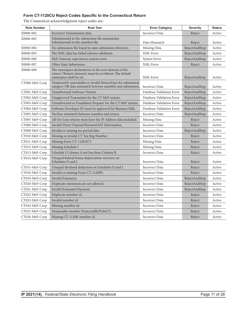#### <span id="page-10-0"></span>**Form CT-1120CU Reject Codes Specific to the Connecticut Return**

| <b>Rule Number</b> | <b>Rule Text</b>                                                                                                                              | <b>Error Category</b>     | <b>Severity</b> | <b>Status</b> |
|--------------------|-----------------------------------------------------------------------------------------------------------------------------------------------|---------------------------|-----------------|---------------|
| X0000-002          | Incorrect Transmission data.                                                                                                                  | <b>Incorrect Data</b>     | Reject          | Active        |
| X0000-003          | SubmissionId in the submission file mismatches<br>SubmissionId in the manifest file.                                                          | Data Mismatch             | Reject          | Active        |
| X0000-004          | No submission file found in state submission directory.                                                                                       | Missing Data              | RejectAndStop   | Active        |
| X0000-005          | The XML data has failed schema validation.                                                                                                    | XML Error                 | RejectAndStop   | Active        |
| X0000-006          | MeF Gateway experiences system error.                                                                                                         | System Error              | RejectAndStop   | Active        |
| X0000-007          | Other State Submission.                                                                                                                       | XML Error                 | Reject          | Active        |
| X0000-008          | The namespace declarations in the root element of the<br>return ('Return' element) must be as follows: The default<br>namespace shall be set. | XML Error                 | RejectAndStop   | Active        |
| CT000-MeF-Corp     | Temporarily unavailable or invalid ReturnType for submission<br>category OR data mismatch between manifest and submission.                    | <b>Incorrect Data</b>     | RejectAndStop   | Active        |
| CT001-MeF-Corp     | Unauthorized Software Version.                                                                                                                | Database Validation Error | RejectAndStop   | Active        |
| CT002-MeF-Corp     | Unapproved Transmitter for the CT MeF system.                                                                                                 | Database Validation Error | RejectAndStop   | Active        |
| CT003-MeF-Corp     | Unauthorized or Fraudulent Preparer for the CT MeF system.                                                                                    | Database Validation Error | RejectAndStop   | Active        |
| CT004-MeF-Corp     | Software Developer ID must be approved for Business Efile.                                                                                    | Database Validation Error | RejectAndStop   | Active        |
| CT005-MeF-Corp     | TaxYear mismatch between manifest and return.                                                                                                 | <b>Incorrect Data</b>     | RejectAndStop   | Active        |
| CT007-MeF-Corp     | All On-Line returns must have the IP Address data included.                                                                                   | Missing Data              | Reject          | Active        |
| CT008-MeF-Corp     | Invalid Direct Deposit/Payment/IAT Information.                                                                                               | <b>Incorrect Data</b>     | Reject          | Active        |
| CT009-MeF-Corp     | Invalid or missing tax period date.                                                                                                           | <b>Incorrect Data</b>     | RejectAndStop   | Active        |
| CT010-MeF-Corp     | Missing or invalid CT Tax Reg Number.                                                                                                         | <b>Incorrect Data</b>     | Reject          | Active        |
| CT011-MeF-Corp     | Missing Form CT-1120ATT.                                                                                                                      | Missing Data              | Reject          | Active        |
| CT012-MeF-Corp     | Missing Schedule I.                                                                                                                           | Missing Data              | Reject          | Active        |
| CT013-MeF-Corp     | Schedule J Column A not less than Column B.                                                                                                   | <b>Incorrect Data</b>     | Reject          | Active        |
| CT014-MeF-Corp     | Unequal federal bonus depreciation recovery on<br>Schedules D and J.                                                                          | <b>Incorrect Data</b>     | Reject          | Active        |
| CT015-MeF-Corp     | Unequal dividend deduction on Schedules D and I.                                                                                              | <b>Incorrect Data</b>     | Reject          | Active        |
| CT016-MeF-Corp     | Invalid or missing Form CT-1120PE.                                                                                                            | <b>Incorrect Data</b>     | Reject          | Active        |
| CT019-MeF-Corp     | Invalid Extension.                                                                                                                            | <b>Incorrect Data</b>     | RejectAndStop   | Active        |
| CT020-MeF-Corp     | Duplicate extensions are not allowed.                                                                                                         | <b>Incorrect Data</b>     | RejectAndStop   | Active        |
| CT021-MeF-Corp     | Invalid Estimated Payment.                                                                                                                    | <b>Incorrect Data</b>     | RejectAndStop   | Active        |
| CT022-MeF-Corp     | Duplicate member id.                                                                                                                          | <b>Incorrect Data</b>     | Reject          | Active        |
| CT023-MeF-Corp     | Invalid member id.                                                                                                                            | <b>Incorrect Data</b>     | Reject          | Active        |
| CT024-MeF-Corp     | Missing member id.                                                                                                                            | <b>Incorrect Data</b>     | Reject          | Active        |
| CT025-MeF-Corp     | Nontaxable member ProtectedByPL86272.                                                                                                         | Incorrect Data            | Reject          | Active        |
| CT026-MeF-Corp     | Missing CT-1120K member id.                                                                                                                   | Incorrect Data            | Reject          | Active        |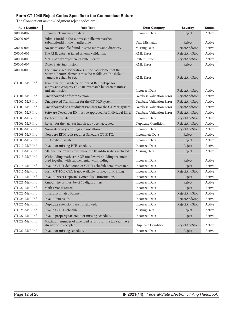#### <span id="page-11-0"></span>**Form CT-1040 Reject Codes Specific to the Connecticut Return**

| <b>Rule Number</b>                | <b>Rule Text</b>                                                                                                                              | <b>Error Category</b>      | <b>Severity</b> | <b>Status</b> |
|-----------------------------------|-----------------------------------------------------------------------------------------------------------------------------------------------|----------------------------|-----------------|---------------|
| X0000-002                         | Incorrect Transmission data.                                                                                                                  | Incorrect Data             | Reject          | Active        |
| X0000-003                         | SubmissionId in the submission file mismatches<br>SubmissionId in the manifest file.                                                          | Data Mismatch              | Reject          | Active        |
| X0000-004                         | No submission file found in state submission directory.                                                                                       | Missing Data               | RejectAndStop   | Active        |
| X0000-005                         | The XML data has failed schema validation.                                                                                                    | XML Error                  | RejectAndStop   | Active        |
| X0000-006                         | MeF Gateway experiences system error.                                                                                                         | System Error               | RejectAndStop   | Active        |
| X0000-007                         | Other State Submission.                                                                                                                       | XML Error                  | Reject          | Active        |
| X0000-008                         | The namespace declarations in the root element of the<br>return ('Return' element) must be as follows: The default<br>namespace shall be set. | XML Error                  | RejectAndStop   | Active        |
| CT000-MeF-Ind                     | Temporarily unavailable or invalid ReturnType for<br>submission category OR data mismatch between manifest<br>and submission.                 | <b>Incorrect Data</b>      | RejectAndStop   | Active        |
| CT001-MeF-Ind                     | Unauthorized Software Version.                                                                                                                | Database Validation Error  | RejectAndStop   | Active        |
| CT002-MeF-Ind                     | Unapproved Transmitter for the CT MeF system.                                                                                                 | Database Validation Error  | RejectAndStop   | Active        |
| CT003-MeF-Ind                     | Unauthorized or Fraudulent Preparer for the CT MeF system.                                                                                    | Database Validation Error  | RejectAndStop   | Active        |
| CT004-MeF-Ind                     | Software Developer ID must be approved for Individual Efile.                                                                                  | Database Validation Error  | RejectAndStop   | Active        |
| CT005-MeF-Ind                     | TaxYear mismatch.                                                                                                                             | <b>Incorrect Data</b>      | RejectAndStop   | Active        |
| CT006-MeF-Ind                     | Return for the tax year has already been accepted.                                                                                            | <b>Duplicate Condition</b> | RejectAndStop   | Active        |
| CT007-MeF-Ind                     | Non-calendar year filings are not allowed.                                                                                                    | <b>Incorrect Data</b>      | RejectAndStop   | Active        |
| CT008-MeF-Ind                     | Non-zero EITCredit requires Schedule CT-EITC.                                                                                                 | Incomplete Data            | Reject          | Active        |
| CT009-MeF-Ind                     | EITCredit mismatch.                                                                                                                           | <b>Incorrect Data</b>      | Reject          | Active        |
| CT010-MeF-Ind                     | Invalid or missing PTE schedule.                                                                                                              | <b>Incorrect Data</b>      | Reject          | Active        |
| CT011-MeF-Ind                     | All On-Line returns must have the IP Address data included.                                                                                   | Missing Data               | Reject          | Active        |
| CT013-MeF-Ind                     | Withholding math error OR too few withholding instances<br>used together with supplemental withholding.                                       | <b>Incorrect Data</b>      | Reject          | Active        |
| CT014-MeF-Ind                     | Invalid CHET deduction or CHET schedule total mismatch.                                                                                       | <b>Incorrect Data</b>      | Reject          | Active        |
| CT015-MeF-Ind                     | Form CT-1040 CRC is not available for Electronic Filing.                                                                                      | Incorrect Data             | RejectAndStop   | Active        |
| CT019-MeF-Ind                     | Invalid Direct Deposit/Payment/IAT Information.                                                                                               | <b>Incorrect Data</b>      | Reject          | Active        |
| CT021-MeF-Ind                     | Amount fields must be of 10 digits or less.                                                                                                   | <b>Incorrect Data</b>      | Reject          | Active        |
| CT022-MeF-Ind                     | Math error detected.                                                                                                                          | Incorrect Data             | Reject          | Active        |
| CT023-MeF-Ind                     | Invalid Estimated Payment.                                                                                                                    | Incorrect Data             | RejectAndStop   | Active        |
| CT024-MeF-Ind                     | Invalid Extension.                                                                                                                            | Incorrect Data             | RejectAndStop   | Active        |
| CT025-MeF-Ind                     | Duplicate extensions are not allowed.                                                                                                         | Incorrect Data             | RejectAndStop   | Active        |
| $\rm CT026\text{-}MeF\text{-}Ind$ | Invalid CHET schedule.                                                                                                                        | Missing Data               | Reject          | Active        |
| CT027-MeF-Ind                     | Invalid property tax credit or missing schedule.                                                                                              | Incorrect Data             | Reject          | Active        |
| CT028-MeF-Ind                     | Maximum number of amended returns for the tax year have<br>already been accepted.                                                             | <b>Duplicate Condition</b> | RejectAndStop   | Active        |
| CT029-MeF-Ind                     | Invalid or missing schedule.                                                                                                                  | <b>Incorrect Data</b>      | Reject          | Active        |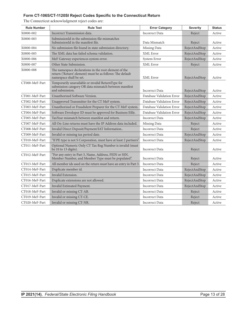#### <span id="page-12-0"></span>**Form CT-1065/CT-1120SI Reject Codes Specific to the Connecticut Return**

| <b>Rule Number</b> | <b>Rule Text</b>                                                                                                                              | <b>Error Category</b>     | <b>Severity</b> | <b>Status</b> |
|--------------------|-----------------------------------------------------------------------------------------------------------------------------------------------|---------------------------|-----------------|---------------|
| X0000-002          | Incorrect Transmission data.                                                                                                                  | <b>Incorrect Data</b>     | Reject          | Active        |
| X0000-003          | SubmissionId in the submission file mismatches                                                                                                |                           |                 |               |
|                    | SubmissionId in the manifest file.                                                                                                            | Data Mismatch             | Reject          | Active        |
| X0000-004          | No submission file found in state submission directory.                                                                                       | Missing Data              | RejectAndStop   | Active        |
| X0000-005          | The XML data has failed schema validation.                                                                                                    | <b>XML</b> Error          | RejectAndStop   | Active        |
| X0000-006          | MeF Gateway experiences system error.                                                                                                         | System Error              | RejectAndStop   | Active        |
| X0000-007          | Other State Submission.                                                                                                                       | XML Error                 | Reject          | Active        |
| X0000-008          | The namespace declarations in the root element of the<br>return ('Return' element) must be as follows: The default<br>namespace shall be set. | XML Error                 | RejectAndStop   | Active        |
| CT000-MeF-Part     | Temporarily unavailable or invalid ReturnType for<br>submission category OR data mismatch between manifest<br>and submission.                 | <b>Incorrect Data</b>     | RejectAndStop   | Active        |
| CT001-MeF-Part     | Unauthorized Software Version.                                                                                                                | Database Validation Error | RejectAndStop   | Active        |
| CT002-MeF-Part     | Unapproved Transmitter for the CT MeF system.                                                                                                 | Database Validation Error | RejectAndStop   | Active        |
| CT003-MeF-Part     | Unauthorized or Fraudulent Preparer for the CT MeF system.                                                                                    | Database Validation Error | RejectAndStop   | Active        |
| CT004-MeF-Part     | Software Developer ID must be approved for Business Efile.                                                                                    | Database Validation Error | RejectAndStop   | Active        |
| CT005-MeF-Part     | TaxYear mismatch between manifest and return.                                                                                                 | <b>Incorrect Data</b>     | RejectAndStop   | Active        |
| CT007-MeF-Part     | All On-Line returns must have the IP Address data included.                                                                                   | Missing Data              | Reject          | Active        |
| CT008-MeF-Part     | Invalid Direct Deposit/Payment/IAT Information                                                                                                | <b>Incorrect Data</b>     | Reject          | Active        |
| CT009-MeF-Part     | Invalid or missing tax period date.                                                                                                           | <b>Incorrect Data</b>     | RejectAndStop   | Active        |
| CT010-MeF-Part     | "If PE type is not S Corporation, must have at least 2 partners".                                                                             | <b>Incorrect Data</b>     | RejectAndStop   | Active        |
| CT011-MeF-Part     | Optional Numeric Only CT Tax Reg Number is invalid (must<br>be 10 to 13 digits).                                                              | <b>Incorrect Data</b>     | Reject          | Active        |
| CT012-MeF-Part     | "For any entry in Part 3, Name, Address, FEIN or SSN,<br>Member Number, and Member Type must be populated".                                   | <b>Incorrect Data</b>     | Reject          | Active        |
| CT013-MeF-Part     | All member ids used on the return must have an entry in Part 3.                                                                               | <b>Incorrect Data</b>     | Reject          | Active        |
| CT014-MeF-Part     | Duplicate member id.                                                                                                                          | <b>Incorrect Data</b>     | RejectAndStop   | Active        |
| CT015-MeF-Part     | Invalid Extension.                                                                                                                            | <b>Incorrect Data</b>     | RejectAndStop   | Active        |
| CT016-MeF-Part     | Duplicate extensions are not allowed.                                                                                                         | <b>Incorrect Data</b>     | RejectAndStop   | Active        |
| CT017-MeF-Part     | Invalid Estimated Payment.                                                                                                                    | <b>Incorrect Data</b>     | RejectAndStop   | Active        |
| CT018-MeF-Part     | Invalid or missing CT-AB.                                                                                                                     | <b>Incorrect Data</b>     | Reject          | Active        |
| CT019-MeF-Part     | Invalid or missing CT-CE.                                                                                                                     | <b>Incorrect Data</b>     | Reject          | Active        |
| CT020-MeF-Part     | Invalid or missing CT-NR.                                                                                                                     | <b>Incorrect Data</b>     | Reject          | Active        |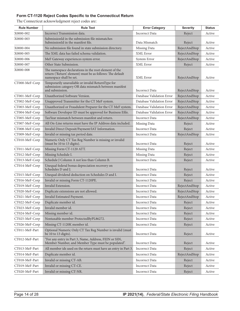#### <span id="page-13-0"></span>**Form CT-1120 Reject Codes Specific to the Connecticut Return**

| <b>Rule Number</b> | <b>Rule Text</b>                                                                                                                              | <b>Error Category</b>     | <b>Severity</b> | <b>Status</b> |
|--------------------|-----------------------------------------------------------------------------------------------------------------------------------------------|---------------------------|-----------------|---------------|
| X0000-002          | Incorrect Transmission data.                                                                                                                  | <b>Incorrect Data</b>     | Reject          | Active        |
| X0000-003          | SubmissionId in the submission file mismatches<br>SubmissionId in the manifest file.                                                          | Data Mismatch             | Reject          | Active        |
| X0000-004          | No submission file found in state submission directory.                                                                                       | Missing Data              | RejectAndStop   | Active        |
| X0000-005          | The XML data has failed schema validation.                                                                                                    | XML Error                 | RejectAndStop   | Active        |
| X0000-006          | MeF Gateway experiences system error.                                                                                                         | System Error              | RejectAndStop   | Active        |
| X0000-007          | Other State Submission.                                                                                                                       | XML Error                 | Reject          | Active        |
| X0000-008          | The namespace declarations in the root element of the<br>return ('Return' element) must be as follows: The default<br>namespace shall be set. | <b>XML</b> Error          | RejectAndStop   | Active        |
| CT000-MeF-Corp     | Temporarily unavailable or invalid ReturnType for<br>submission category OR data mismatch between manifest<br>and submission.                 | <b>Incorrect Data</b>     | RejectAndStop   | Active        |
| CT001-MeF-Corp     | Unauthorized Software Version.                                                                                                                | Database Validation Error | RejectAndStop   | Active        |
| CT002-MeF-Corp     | Unapproved Transmitter for the CT MeF system.                                                                                                 | Database Validation Error | RejectAndStop   | Active        |
| CT003-MeF-Corp     | Unauthorized or Fraudulent Preparer for the CT MeF system.                                                                                    | Database Validation Error | RejectAndStop   | Active        |
| CT004-MeF-Corp     | Software Developer ID must be approved for Business Efile.                                                                                    | Database Validation Error | RejectAndStop   | Active        |
| CT005-MeF-Corp     | TaxYear mismatch between manifest and return.                                                                                                 | <b>Incorrect Data</b>     | RejectAndStop   | Active        |
| CT007-MeF-Corp     | All On-Line returns must have the IP Address data included.                                                                                   | Missing Data              | Reject          | Active        |
| CT008-MeF-Corp     | Invalid Direct Deposit/Payment/IAT Information.                                                                                               | <b>Incorrect Data</b>     | Reject          | Active        |
| CT009-MeF-Corp     | Invalid or missing tax period date.                                                                                                           | <b>Incorrect Data</b>     | RejectAndStop   | Active        |
| CT010-MeF-Corp     | Numeric Only CT Tax Reg Number is missing or invalid<br>(must be 10 to 13 digits).                                                            | <b>Incorrect Data</b>     | Reject          | Active        |
| CT011-MeF-Corp     | Missing Form CT-1120 ATT.                                                                                                                     | Missing Data              | Reject          | Active        |
| CT012-MeF-Corp     | Missing Schedule I.                                                                                                                           | Missing Data              | Reject          | Active        |
| CT013-MeF-Corp     | Schedule J Column A not less than Column B.                                                                                                   | <b>Incorrect Data</b>     | Reject          | Active        |
| CT014-MeF-Corp     | Unequal federal bonus depreciation recovery on<br>Schedules D and J.                                                                          | <b>Incorrect Data</b>     | Reject          | Active        |
| CT015-MeF-Corp     | Unequal dividend deduction on Schedules D and I.                                                                                              | <b>Incorrect Data</b>     | Reject          | Active        |
| CT016-MeF-Corp     | Invalid or missing Form CT-1120PE.                                                                                                            | <b>Incorrect Data</b>     | Reject          | Active        |
| CT019-MeF-Corp     | Invalid Extension.                                                                                                                            | <b>Incorrect Data</b>     | RejectAndStop   | Active        |
| CT020-MeF-Corp     | Duplicate extensions are not allowed.                                                                                                         | <b>Incorrect Data</b>     | RejectAndStop   | Active        |
| CT021-MeF-Corp     | Invalid Estimated Payment.                                                                                                                    | <b>Incorrect Data</b>     | RejectAndStop   | Active        |
| CT022-MeF-Corp     | Duplicate member id.                                                                                                                          | <b>Incorrect Data</b>     | Reject          | Active        |
| CT023-MeF-Corp     | Invalid member id.                                                                                                                            | Incorrect Data            | Reject          | Active        |
| CT024-MeF-Corp     | Missing member id.                                                                                                                            | <b>Incorrect Data</b>     | Reject          | Active        |
| CT025-MeF-Corp     | Nontaxable member ProtectedByPL86272.                                                                                                         | <b>Incorrect Data</b>     | Reject          | Active        |
| CT026-MeF-Corp     | Missing CT-1120K member id.                                                                                                                   | Incorrect Data            | Reject          | Active        |
| CT011-MeF-Part     | Optional Numeric Only CT Tax Reg Number is invalid (must<br>be 10 to 13 digits).                                                              | Incorrect Data            | Reject          | Active        |
| CT012-MeF-Part     | "For any entry in Part 3, Name, Address, FEIN or SSN,<br>Member Number, and Member Type must be populated".                                   | <b>Incorrect Data</b>     | Reject          | Active        |
| CT013-MeF-Part     | All member ids used on the return must have an entry in Part 3.                                                                               | <b>Incorrect Data</b>     | Reject          | Active        |
| CT014-MeF-Part     | Duplicate member id.                                                                                                                          | Incorrect Data            | RejectAndStop   | Active        |
| CT018-MeF-Part     | Invalid or missing CT-AB.                                                                                                                     | <b>Incorrect Data</b>     | Reject          | Active        |
| CT019-MeF-Part     | Invalid or missing CT-CE.                                                                                                                     | <b>Incorrect Data</b>     | Reject          | Active        |
| CT020-MeF-Part     | Invalid or missing CT-NR.                                                                                                                     | Incorrect Data            | Reject          | Active        |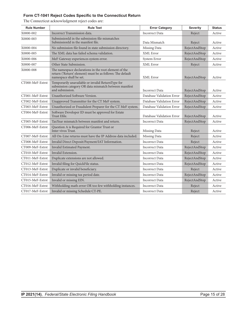#### <span id="page-14-0"></span>**Form CT-1041 Reject Codes Specific to the Connecticut Return**

| <b>Rule Number</b> | <b>Rule Text</b>                                                                                                                              | <b>Error Category</b>     | <b>Severity</b> | <b>Status</b> |
|--------------------|-----------------------------------------------------------------------------------------------------------------------------------------------|---------------------------|-----------------|---------------|
| X0000-002          | Incorrect Transmission data.                                                                                                                  | <b>Incorrect Data</b>     | Reject          | Active        |
| X0000-003          | SubmissionId in the submission file mismatches<br>SubmissionId in the manifest file.                                                          | Data Mismatch             | Reject          | Active        |
| X0000-004          | No submission file found in state submission directory.                                                                                       | Missing Data              | RejectAndStop   | Active        |
| X0000-005          | The XML data has failed schema validation.                                                                                                    | XML Error                 | RejectAndStop   | Active        |
| X0000-006          | MeF Gateway experiences system error.                                                                                                         | System Error              | RejectAndStop   | Active        |
| X0000-007          | Other State Submission.                                                                                                                       | XML Error                 | Reject          | Active        |
| X0000-008          | The namespace declarations in the root element of the<br>return ('Return' element) must be as follows: The default<br>namespace shall be set. | <b>XML</b> Error          | RejectAndStop   | Active        |
| CT000-MeF-Estrst   | Temporarily unavailable or invalid ReturnType for<br>submission category OR data mismatch between manifest<br>and submission.                 | <b>Incorrect Data</b>     | RejectAndStop   | Active        |
| CT001-MeF-Estrst   | Unauthorized Software Version.                                                                                                                | Database Validation Error | RejectAndStop   | Active        |
| CT002-MeF-Estrst   | Unapproved Transmitter for the CT MeF system.                                                                                                 | Database Validation Error | RejectAndStop   | Active        |
| CT003-MeF-Estrst   | Unauthorized or Fraudulent Preparer for the CT MeF system.                                                                                    | Database Validation Error | RejectAndStop   | Active        |
| CT004-MeF-Estrst   | Software Developer ID must be approved for Estate<br>Trust Efile.                                                                             | Database Validation Error | RejectAndStop   | Active        |
| CT005-MeF-Estrst   | TaxYear mismatch between manifest and return.                                                                                                 | <b>Incorrect Data</b>     | RejectAndStop   | Active        |
| CT006-MeF-Estrst   | Question A is Required for Grantor Trust or<br>Inter vivos Trust.                                                                             | Missing Data              | Reject          | Active        |
| CT007-MeF-Estrst   | All On-Line returns must have the IP Address data included.                                                                                   | Missing Data              | Reject          | Active        |
| CT008-MeF-Estrst   | Invalid Direct Deposit/Payment/IAT Information.                                                                                               | <b>Incorrect Data</b>     | Reject          | Active        |
| CT009-MeF-Estrst   | Invalid Estimated Payment.                                                                                                                    | <b>Incorrect Data</b>     | RejectAndStop   | Active        |
| CT010-MeF-Estrst   | Invalid Extension.                                                                                                                            | <b>Incorrect Data</b>     | RejectAndStop   | Active        |
| CT011-MeF-Estrst   | Duplicate extensions are not allowed.                                                                                                         | <b>Incorrect Data</b>     | RejectAndStop   | Active        |
| CT012-MeF-Estrst   | Invalid filing for QuickFile status.                                                                                                          | <b>Incorrect Data</b>     | RejectAndStop   | Active        |
| CT013-MeF-Estrst   | Duplicate or invalid beneficiary.                                                                                                             | <b>Incorrect Data</b>     | Reject          | Active        |
| CT014-MeF-Estrst   | Invalid or missing tax period date.                                                                                                           | <b>Incorrect Data</b>     | RejectAndStop   | Active        |
| CT015-MeF-Estrst   | Invalid or missing EIN.                                                                                                                       | <b>Incorrect Data</b>     | RejectAndStop   | Active        |
| CT016-MeF-Estrst   | Withholding math error OR too few withholding instances.                                                                                      | <b>Incorrect Data</b>     | Reject          | Active        |
| CT017-MeF-Estrst   | Invalid or missing Schedule CT-PE.                                                                                                            | Incorrect Data            | Reject          | Active        |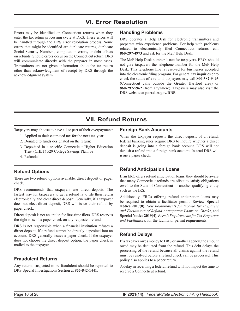# **VI. Error Resolution**

<span id="page-15-0"></span>Errors may be identified on Connecticut returns when they enter the tax return processing cycle at DRS. These errors will be handled through the DRS error resolution process. Some errors that might be identified are duplicate returns, duplicate Social Security Numbers, computation errors, or debt offsets on refunds. Should errors occur on the Connecticut return, DRS will communicate directly with the preparer in most cases. Transmitters are not given information about the tax return other than acknowledgment of receipt by DRS through the acknowledgment system.

#### **Handling Problems**

DRS operates a Help Desk for electronic transmitters and preparers who experience problems. For help with problems related to electronically filed Connecticut returns, call **860‑297‑4973** and ask for the MeF Help Desk.

The MeF Help Desk number is **not** for taxpayers. EROs should not give taxpayers the telephone number for the MeF Help Desk. This telephone line is reserved for businesses accepted into the electronic filing program. For general tax inquiries or to check the status of a refund, taxpayers may call **800‑382‑9463**  (Connecticut calls outside the Greater Hartford area) or **860‑297‑5962** (from anywhere). Taxpayers may also visit the DRS website at **[portal.ct.gov/DRS](https://portal.ct.gov/DRS)**.

# **VII. Refund Returns**

Taxpayers may choose to have all or part of their overpayment:

- 1. Applied to their estimated tax for the next tax year;
- 2. Donated to funds designated on the return;
- 3. Deposited in a specific Connecticut Higher Education Trust (CHET) 529 College Savings Plan; **or**
- 4. Refunded.

#### **Refund Options**

There are two refund options available: direct deposit or paper check.

DRS recommends that taxpayers use direct deposit. The fastest way for taxpayers to get a refund is to file their return electronically and elect direct deposit. Generally, if a taxpayer does not elect direct deposit, DRS will issue their refund by paper check.

Direct deposit is not an option for first-time filers. DRS reserves the right to send a paper check on any requested refund.

DRS is not responsible when a financial institution refuses a direct deposit. If a refund cannot be directly deposited into an account, DRS generally issues a paper check. If the taxpayer does not choose the direct deposit option, the paper check is mailed to the taxpayer.

#### **Fraudulent Returns**

Any returns suspected to be fraudulent should be reported to DRS Special Investigations Section at **855‑842‑1441**.

#### **Foreign Bank Accounts**

When the taxpayer requests the direct deposit of a refund, federal banking rules require DRS to inquire whether a direct deposit is going into a foreign bank account. DRS will not deposit a refund into a foreign bank account. Instead DRS will issue a paper check.

#### **Refund Anticipation Loans**

If an ERO offers refund anticipation loans, they should be aware that many Connecticut refunds are offset to satisfy obligations owed to the State of Connecticut or another qualifying entity such as the IRS.

Additionally, EROs offering refund anticipation loans may be required to obtain a facilitator permit. Review **Special Notice 2017(8)**, *New Requirements for Income Tax Preparers and Facilitators of Refund Anticipation Loans or Checks*, and **Special Notice 2019(4)**, *Permit Requirements for Tax Preparers and Facilitators*, for the facilitator permit requirements.

#### **Refund Delays**

If a taxpayer owes money to DRS or another agency, the amount owed may be deducted from the refund. This debt delays the processing of the refund because all claims against the refund must be resolved before a refund check can be processed. This policy also applies to a paper return.

A delay in receiving a federal refund will not impact the time to receive a Connecticut refund.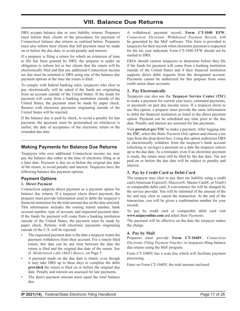# **VIII. Balance Due Returns**

<span id="page-16-0"></span>DRS accepts balance due or zero liability returns. Preparers must inform their clients of the procedures for payment of Connecticut balance due returns as outlined below. Preparers must also inform their clients that full payment must be made on or before the due date, to avoid penalty and interest.

If a preparer is filing a return for which an extension of time to file has been granted by DRS, the preparer is under an obligation to inform his or her clients that the return will be electronically filed and that any additional Connecticut income tax due must be remitted to DRS using one of the balance due payment options at the time the return is filed.

To comply with federal banking rules, taxpayers who elect to pay electronically will be asked if the funds are originating from an account outside of the United States. If the funds for payment will come from a banking institution outside of the United States, the payment must be made by paper check. Returns with electronic payments originating outside of the United States will be rejected.

If the balance due is paid by check, to avoid a penalty for late payment, the payment must be postmarked on whichever is earlier, the date of acceptance of the electronic return or the extended due date.

#### **Making Payments for Balance Due Returns**

Taxpayers who owe additional Connecticut income tax may pay the balance due either at the time of electronic filing or at a later date. Payment is due on or before the original due date of the return, to avoid penalty and interest. Taxpayers have the following balance due payment options.

#### **Payment Options**

#### **1. Direct Payment**

Connecticut supports direct payment as a payment option for balance due returns. If a taxpayer elects direct payment, the preparer must provide information used to debit the taxpayer's financial institution for the total amount due on the date selected. This information includes the routing transit number, bank account number, type of account, and requested payment date. If the funds for payment will come from a banking institution outside of the United States, the payment must be made by paper check. Returns with electronic payments originating outside of the U.S. will be rejected.

- The requested payment date is the date a taxpayer wants the payment withdrawn from their account. For a timely-filed return, this date can be any time between the date the return is filed and the original due date of the return. See *II. Modernized e‑file (MeF) Basics*, on Page 5.
- A payment made on the due date is timely even though it may take DRS up to three days to complete the debit **provided** the return is filed on or before the original due date. Penalty and interest are assessed for late payments.
- The direct payment amount must equal the total balance due.

A withdrawal payment record, **Form CT‑1040 EFW**, *Connecticut Electronic Withdrawal Payment Record*, will be generated by the MeF software. This form is provided to taxpayers for their records when electronic payment is requested for the tax year indicated. Form CT-1040 EFW should not be mailed to DRS.

EROs should caution taxpayers to determine before they file if the funds for payment will come from a banking institution outside of the United States and if their financial institution supports direct debit requests from the designated account. Payments cannot be authorized for this purpose from some credit union share accounts.

#### **2. Pay Electronically**

Taxpayers can also use the **Taxpayer Service Center** *(TSC)* to make a payment for current year taxes, estimated payments, or payments on past due income taxes. If a taxpayer elects to use this option, a preparer must provide the same information to debit the financial institution as listed in the direct payment option. Payment can be scheduled any time prior to the due date. Penalty and interest are assessed for late payments.

Visit **[portal.ct.gov/TSC](https://portal.ct.gov/TSC)** to make a payment. After logging into the *TSC*, select the *Make Payment Only* option and choose a tax type from the drop down box. Using this option authorizes DRS to electronically withdraw from the taxpayer's bank account (checking or savings) a payment on a date the taxpayer selects up to the due date. As a reminder, even if an electronic payment is made, the return must still be filed by the due date. Tax not paid on or before the due date will be subject to penalty and interest.

#### **3. Pay by Credit Card or Debit Card**

The taxpayer may elect to pay their tax liability using a credit card (American Express®, Discover®, Master Card®, or Visa®) or comparable debit card. A convenience fee will be charged by the service provider. You will be informed of the amount of the fee and may elect to cancel the transaction. At the end of the transaction, you will be given a confirmation number for your records.

To pay by credit card or comparable debit card visit **[www.acipayonline.com](https://www.acipayonline.com)** and select *State Payments*.

The payment will be effective on the date the taxpayer makes the charge.

#### **4. Pay by Mail**

Preparers must provide **Form CT‑1040V**, *Connecticut Electronic Filing Payment Voucher*, to taxpayers filing balance due returns using the MeF program.

Form CT-1040V has a scan line which will facilitate payment processing.

Enter on Form CT-1040V, the total amount enclosed.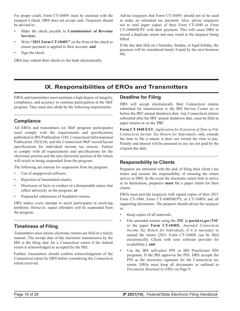<span id="page-17-0"></span>For proper credit, Form CT-1040V must be enclosed with the taxpayer's check. DRS does not accept cash. Taxpayers should be advised to:

- Make the check payable to **Commissioner of Revenue Services**;
- Write **"2021 Form CT‑1040V"** on the front of the check to ensure payment is applied to their account; **and**
- Sign the check.

DRS may submit their checks to the bank electronically.

Advise taxpayers that Form CT-1040V should not to be used to make an estimated tax payment. Also, advise taxpayers not to mail paper copies of their Form CT-1040 or Form CT-1040NR/PY with their payment. This will cause DRS to record a duplicate return and may result in the taxpayer being billed.

If the due date falls on a Saturday, Sunday, or legal holiday, the payment will be considered timely if paid by the next business day.

### **IX. Responsibilities of EROs and Transmitters**

EROs and transmitters must maintain a high degree of integrity, compliance, and accuracy to continue participation in the MeF program. They must also abide by the following requirements.

#### **Compliance**

All EROs and transmitters (or MeF program participants) must comply with the requirements and specifications published in IRS Publication 1345; Connecticut Informational Publication 2021(14); and the Connecticut MeF record layout specifications for individual income tax returns. Failure to comply with all requirements and specifications for the electronic portion and the non-electronic portion of the return will result in being suspended from the program.

The following are reasons for suspension from the program:

- Use of unapproved software;
- Rejection of transmitted returns;
- Disclosure of facts or conduct of a disreputable nature that reflect adversely on the program; **or**
- Purposeful submission of fraudulent returns.

DRS makes every attempt to assist participants in resolving problems. However, repeat offenders will be suspended from the program.

#### **Timeliness of Filing**

Transmitters must ensure electronic returns are filed in a timely manner. The receipt date of the electronic transmission by the IRS is the filing date for a Connecticut return if the federal return is acknowledged as accepted by the IRS.

Further, transmitters should confirm acknowledgment of the Connecticut return by DRS before considering the Connecticut return received.

#### **Deadline for Filing**

DRS will accept electronically filed Connecticut returns submitted for transmission to the IRS Service Center on or before the IRS' annual shutdown date. Any Connecticut returns submitted after the IRS' annual shutdown date, must be filed as paper returns or on the *TSC*.

**Form CT‑1040 EXT**, *Application for Extension of Time to File Connecticut Income Tax Return for Individuals*, only extends the time to file a return; it does not extend the time to pay. Penalty and interest will be assessed on any tax not paid by the original due date.

#### **Responsibility to Clients**

Preparers are entrusted with the task of filing their client's tax return and assume the responsibility of ensuring the return arrives at DRS. In the event the electronic return fails to arrive at its destination, preparers **must** file a paper return for their clients.

EROs must provide taxpayers with signed copies of their 2021 Form CT-1040, Form CT-1040NR/PY, or CT-1040X and all supporting documents. The preparer should advise the taxpayer to:

- Keep copies of all materials;
- File amended returns using the *TSC* at **[portal.ct.gov/TSC](https://portal.ct.gov/TSC)** or the paper **Form CT‑1040X**, *Amended Connecticut Income Tax Return for Individuals*, if it is necessary to amend the return (2021 Form CT-1040X can be filed electronically. Check with your software provider for availability.); **and**
- Use the IRS self-select PIN or IRS Practitioner PIN programs. If the IRS approves the PIN, DRS accepts the PIN as the electronic signature for the Connecticut tax return. EROs must keep all documents as outlined in *Documents Retained by ERO*, on Page 9.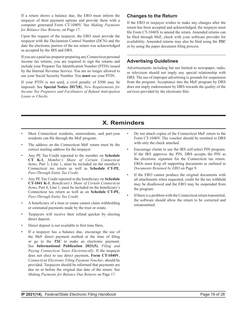<span id="page-18-0"></span>If a return shows a balance due, the ERO must inform the taxpayer of their payment options and provide them with a computer generated Form CT-1040V. See *Making Payments for Balance Due Returns*, on Page 17.

Upon the request of the taxpayer, the ERO must provide the taxpayer with the Declaration Control Number (DCN) and the date the electronic portion of the tax return was acknowledged as accepted by the IRS and DRS.

If you are a paid tax preparer preparing any Connecticut personal income tax returns, you are required to sign the returns and include your Preparer Tax Identification Number (PTIN) issued by the Internal Revenue Service. You are no longer allowed to use your Social Security Number. You **must** use your PTIN.

If your PTIN is not used, a civil penalty of \$500 may be imposed. See **Special Notice 2017(8)**, *New Requirements for Income Tax Preparers and Facilitators of Refund Anticipation Loans or Checks.*

#### **Changes to the Return**

If the ERO or taxpayer wishes to make any changes after the return has been accepted and acknowledged, the taxpayer must file Form CT-1040X to amend the return. Amended returns can be filed through MeF, check with your software provider for availability. Amended returns may also be filed using the *TSC* or by using the paper document filing process.

#### **Advertising Guidelines**

Advertisements including but not limited to newspaper, radio, or television should not imply any special relationship with DRS. The use of improper advertising is grounds for suspension from the program. Acceptance into the MeF program by DRS does not imply endorsement by DRS towards the quality of the services provided by the electronic filer.

# **X. Reminders**

- Most Connecticut residents, nonresidents, and part-year residents can file through the MeF program.
- The address on the Connecticut MeF return must be the correct mailing address for the taxpayer.
- Any PE Tax Credit reported to the member on **Schedule CT K‑1**, *Member's Share of Certain Connecticut Items*, Part 3, Line 1, must be included on the member's Connecticut tax return as well as **Schedule CT‑PE**, *Pass‑Through Entity Tax Credit*.
- Any PE Tax Credit reported to the beneficiary on **Schedule CT‑1041 K‑1**, *Beneficiary's Share of Certain Connecticut Items*, Part 4, Line 1, must be included on the beneficiary's Connecticut tax return as well as on **Schedule CT‑PE**, *Pass‑Through Entity Tax Credit*.
- A beneficiary of a trust or estate cannot claim withholding or estimated payments made by the trust or estate.
- Taxpayers will receive their refund quicker by electing direct deposit.
- Direct deposit is not available to first time filers.
- If a taxpayer has a balance due, encourage the use of the MeF direct payment method at the time of filing or go to the *TSC* to make an electronic payment. See **Informational Publication 2021(5)**, *Filing and Paying Connecticut Taxes Electronically*. If the taxpayer does not elect to use direct payment, **Form CT-1040V**, *Connecticut Electronic Filing Payment Voucher*, should be provided. Taxpayers should be informed that payments are due on or before the original due date of the return. See *Making Payments for Balance Due Returns* on Page 17.
- Do not attach copies of the Connecticut MeF return to the Form CT-1040V. The voucher should be remitted to DRS with only the check attached.
- Encourage clients to use the IRS self‑select PIN program. If the IRS approves the PIN, DRS accepts the PIN as the electronic signature for the Connecticut tax return. EROs must keep all supporting documents as outlined in *Documents Retained by ERO* on Page 9.
- If the ERO cannot produce the original documents with all attachments when requested, credit for the tax withheld may be disallowed and the ERO may be suspended from the program.
- If there is a problem with the Connecticut return transmittal, the software should allow the return to be corrected and retransmitted.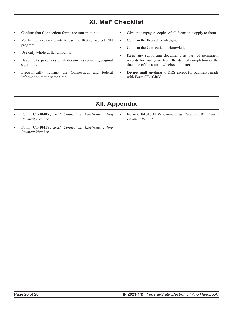# **XI. MeF Checklist**

- <span id="page-19-0"></span>• Confirm that Connecticut forms are transmittable.
- Verify the taxpayer wants to use the IRS self‑select PIN program.
- Use only whole dollar amounts.
- Have the taxpayer(s) sign all documents requiring original signatures.
- Electronically transmit the Connecticut and federal information at the same time.
- Give the taxpayers copies of all forms that apply to them.
- Confirm the IRS acknowledgment.
- Confirm the Connecticut acknowledgment.
- Keep any supporting documents as part of permanent records for four years from the date of completion or the due date of the return, whichever is later.
- **• Do not mail** anything to DRS except for payments made with Form CT-1040V.

# **XII. Appendix**

- **• Form CT‑1040V**, *2021 Connecticut Electronic Filing Payment Voucher*
- **• Form CT-1041V**, *2021 Connecticut Electronic Filing Payment Voucher*
- **• Form CT‑1040 EFW**, *Connecticut Electronic Withdrawal Payment Record*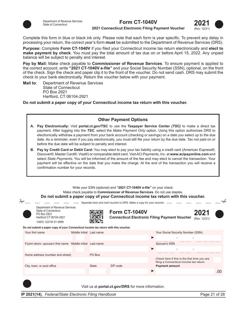



**2021 Connecticut Electronic Filing Payment Voucher**

Complete this form in blue or black ink only. Please note that each form is year specific. To prevent any delay in processing your return, the correct year's form **must** be submitted to the Department of Revenue Services (DRS).

**Purpose:** Complete **Form CT‑1040V** if you filed your Connecticut income tax return electronically and **elect to make payment by check**. You must pay the total amount of tax due on or before April 15, 2022. Any unpaid balance will be subject to penalty and interest.

**Pay by Mail:** Make check payable to **Commissioner of Revenue Services**. To ensure payment is applied to the correct account, write **"2021 CT‑1040V e‑file"** and your Social Security Number (SSN), optional, on the front of the check. Sign the check and paper clip it to the front of the voucher. Do not send cash. DRS may submit the check to your bank electronically. Return the voucher below with your payment.

**Mail to**: Department of Revenue Services State of Connecticut PO Box 2921 Hartford, CT 06104-2921

**Do not submit a paper copy of your Connecticut income tax return with this voucher.**

#### **Other Payment Options**

- **A. Pay Electronically:** Visit **portal.ct.gov/TSC** to use the **Taxpayer Service Center** *(TSC)* to make a direct tax payment. After logging into the *TSC*, select the *Make Payment Only* option. Using this option authorizes DRS to electronically withdraw a payment from your bank account (checking or savings) on a date you select up to the due date. As a reminder, even if you pay electronically, you must still file your return by the due date. Tax not paid on or before the due date will be subject to penalty and interest.
- **B. Pay by Credit Card or Debit Card:** You may elect to pay your tax liability using a credit card (American Express®, Discover®, Master Card®, Visa®) or comparable debit card. Visit ACI Payments, Inc. at **www.acipayonline.com** and select *State Payments*. You will be informed of the amount of the fee and may elect to cancel the transaction. Your payment will be effective on the date that you make the charge. At the end of the transaction you will receive a confirmation number for your records.

Write your SSN (optional) and **"2021 CT‑1040V e‑file"** on your check.

Make check payable to **Commissioner of Revenue Services**. Do not use staples.

#### **Do not submit a paper copy of your Connecticut income tax return with this voucher.**

|                                                                                                                        |                          |              | <u>, a bad i dan a chunachan machta mur tam mun m</u>                 |                                                                                         |     |
|------------------------------------------------------------------------------------------------------------------------|--------------------------|--------------|-----------------------------------------------------------------------|-----------------------------------------------------------------------------------------|-----|
|                                                                                                                        |                          |              | Separate here and mail voucher to DRS. Make a copy for your records.  |                                                                                         |     |
| Department of Revenue Services<br>State of Connecticut<br>PO Box 2921<br>Hartford CT 06104-2921<br>1040V 1221W 01 9999 |                          |              | Form CT-1040V<br><b>Connecticut Electronic Filing Payment Voucher</b> | 2021<br>(Rev. 12/21)                                                                    |     |
| Do not submit a paper copy of your Connecticut income tax return with this voucher.                                    |                          |              |                                                                       |                                                                                         |     |
| Your first name                                                                                                        | Middle initial Last name |              |                                                                       | Your Social Security Number (SSN)                                                       |     |
|                                                                                                                        |                          |              |                                                                       |                                                                                         |     |
| If joint return, spouse's first name Middle initial Last name                                                          |                          |              |                                                                       | Spouse's SSN                                                                            |     |
|                                                                                                                        |                          |              |                                                                       |                                                                                         |     |
| Home address (number and street)                                                                                       |                          | PO Box       |                                                                       |                                                                                         |     |
|                                                                                                                        |                          |              |                                                                       | Check here if this is the first time you are<br>filing a Connecticut income tax return. |     |
| City, town, or post office                                                                                             |                          | <b>State</b> | ZIP code                                                              | <b>Payment amount</b>                                                                   |     |
|                                                                                                                        |                          |              |                                                                       |                                                                                         | .00 |
|                                                                                                                        |                          |              |                                                                       |                                                                                         |     |

Visit us at **portal.ct.gov/DRS** for more information.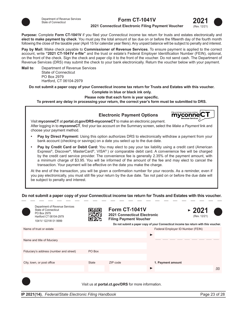

#### **Form CT-1041V**



#### **2021 Connecticut Electronic Filing Payment Voucher**

**Purpose:** Complete Form CT-1041V if you filed your Connecticut income tax return for trusts and estates electronically and **elect to make payment by check**. You must pay the total amount of tax due on or before the fifteenth day of the fourth month following the close of the taxable year (April 15 for calendar year filers). Any unpaid balance will be subject to penalty and interest.

**Pay by Mail:** Make check payable to **Commissioner of Revenue Services**. To ensure payment is applied to the correct account, write **"2021 CT‑1041V e‑file"** and the trust or estate's Federal Employer Identification Number (FEIN), optional, on the front of the check. Sign the check and paper clip it to the front of the voucher. Do not send cash. The Department of Revenue Services (DRS) may submit the check to your bank electronically. Return the voucher below with your payment.

**Mail to**: Department of Revenue Services State of Connecticut PO Box 2979 Hartford, CT 06104-2979

**Do not submit a paper copy of your Connecticut income tax return for Trusts and Estates with this voucher.**

**Complete in blue or black ink only.**

**Please note that each form is year specific.**

**To prevent any delay in processing your return, the correct year's form must be submitted to DRS.**

**Electronic Payment Options** mvconne Visit **myconneCT** at **portal.ct.gov/DRS‑myconneCT** to make an electronic payment. After logging in to **myconneCT**, find your tax account on the Summary screen, select the *Make a Payment* link and choose your payment method. **• Pay by Direct Payment:** Using this option authorizes DRS to electronically withdraw a payment from your bank account (checking or savings) on a date you select up to the due date. **• Pay by Credit Card or Debit Card:** You may elect to pay your tax liability using a credit card (American Express®, Discover®, MasterCard®, VISA® ) or comparable debit card. A convenience fee will be charged by the credit card service provider. The convenience fee is generally 2.35% of the payment amount, with a minimum charge of \$3.95. You will be informed of the amount of the fee and may elect to cancel the transaction. Your payment will be effective on the date you make the charge.

At the end of the transaction, you will be given a confirmation number for your records. As a reminder, even if you pay electronically, you must still file your return by the due date. Tax not paid on or before the due date will be subject to penalty and interest.

#### **Do not submit a paper copy of your Connecticut income tax return for Trusts and Estates with this voucher.**

| Department of Revenue Services<br>State of Connecticut<br>PO Box 2979<br>Hartford CT 06104-2979<br>1041V 1221W 01 9999 |              | <b>Form CT-1041V</b><br><b>2021 Connecticut Electronic</b><br><b>Filing Payment Voucher</b> |   | ~2021<br>(Rev. 12/21)<br>Do not submit a paper copy of your Connecticut income tax return with this voucher. |     |
|------------------------------------------------------------------------------------------------------------------------|--------------|---------------------------------------------------------------------------------------------|---|--------------------------------------------------------------------------------------------------------------|-----|
| Name of trust or estate                                                                                                |              |                                                                                             |   | Federal Employer ID Number (FEIN)                                                                            |     |
|                                                                                                                        |              |                                                                                             | ▶ |                                                                                                              |     |
| Name and title of fiduciary                                                                                            |              |                                                                                             |   |                                                                                                              |     |
|                                                                                                                        |              |                                                                                             |   |                                                                                                              |     |
| Fiduciary's address (number and street)                                                                                | PO Box       |                                                                                             |   |                                                                                                              |     |
|                                                                                                                        |              |                                                                                             |   |                                                                                                              |     |
| City, town, or post office                                                                                             | <b>State</b> | ZIP code                                                                                    |   | 1. Payment amount                                                                                            |     |
|                                                                                                                        |              |                                                                                             | ▶ |                                                                                                              | .00 |
|                                                                                                                        |              |                                                                                             |   |                                                                                                              |     |

Visit us at **portal.ct.gov/DRS** for more information.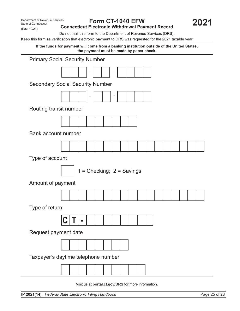(Rev. 12/21)

#### **Form CT-1040 EFW Connecticut Electronic Withdrawal Payment Record**

Do not mail this form to the Department of Revenue Services (DRS).

Keep this form as verification that electronic payment to DRS was requested for the 2021 taxable year.

**If the funds for payment will come from a banking institution outside of the United States, the payment must be made by paper check.**



Visit us at **portal.ct.gov/DRS** for more information.